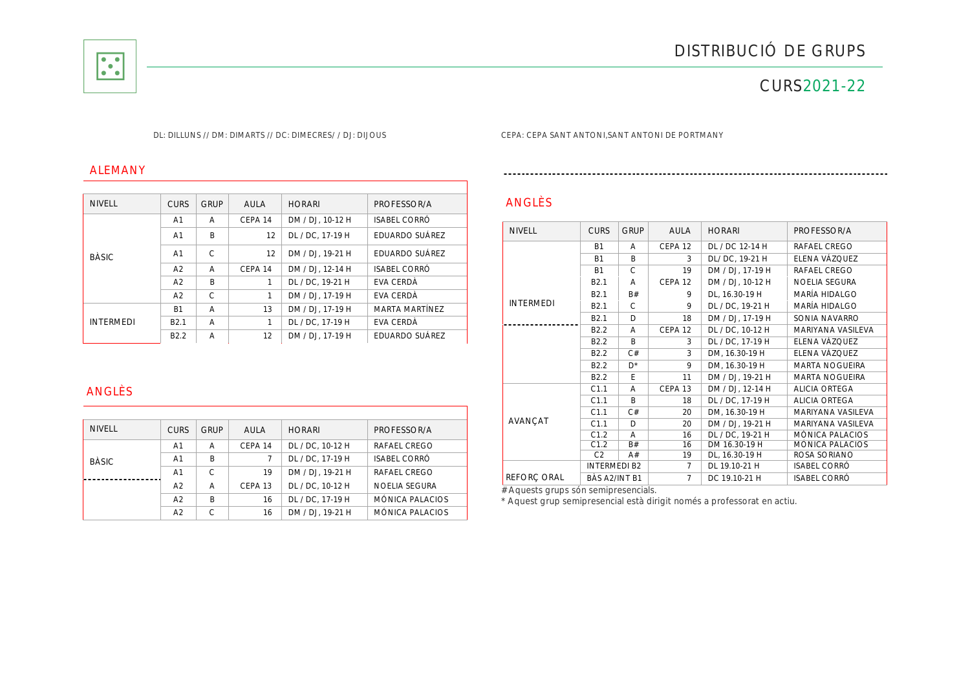

## CURS2021-22

#### DL: DILLUNS // DM: DIMARTS // DC: DIMECRES/ / DJ: DIJOUS CEPA: CEPA SANT ANTONI,SANT ANTONI DE PORTMANY

#### ALEMANY

| <b>NIVELL</b>    | <b>CURS</b>      | <b>GRUP</b>  | AULA    | <b>HORARI</b>    | PROFESSOR/A      |
|------------------|------------------|--------------|---------|------------------|------------------|
| <b>BÀSIC</b>     | A <sub>1</sub>   | A            | CEPA 14 | DM / DJ, 10-12 H | ISABEL CORRÓ     |
|                  | A <sub>1</sub>   | B            | 12      | DL / DC. 17-19 H | EDUARDO SUÁREZ   |
|                  | A <sub>1</sub>   | $\mathsf{C}$ | 12      | DM / DJ. 19-21 H | EDUARDO SUÁREZ   |
|                  | A <sub>2</sub>   | A            | CEPA 14 | DM / DJ. 12-14 H | ISABEL CORRÓ     |
|                  | A <sub>2</sub>   | B            | 1       | DL / DC. 19-21 H | EVA CERDÀ        |
|                  | A <sub>2</sub>   | C            | 1       | DM / DJ. 17-19 H | <b>EVA CERDÀ</b> |
| <b>INTERMEDI</b> | <b>B1</b>        | A            | 13      | DM / DJ, 17-19 H | MARTA MARTÍNEZ   |
|                  | B <sub>2.1</sub> | A            | 1       | DL / DC. 17-19 H | EVA CERDÀ        |
|                  | B <sub>2.2</sub> | A            | 12      | DM / DJ. 17-19 H | EDUARDO SUÁREZ   |

### ANGLÈS

| <b>NIVELL</b> | <b>CURS</b>    | <b>GRUP</b> | AULA    | <b>HORARI</b>    | PROFESSOR/A            |
|---------------|----------------|-------------|---------|------------------|------------------------|
| <b>BÀSIC</b>  | A <sub>1</sub> | A           | CEPA 14 | DL / DC, 10-12 H | RAFAEL CREGO           |
|               | A1             | B           |         | DL / DC. 17-19 H | <b>ISABEL CORRÓ</b>    |
|               | A <sub>1</sub> | C           | 19      | DM / DJ. 19-21 H | RAFAEL CREGO           |
|               | A <sub>2</sub> | A           | CEPA 13 | DL / DC. 10-12 H | <b>NOELIA SEGURA</b>   |
|               | A <sub>2</sub> | B           | 16      | DL / DC. 17-19 H | <b>MÓNICA PALACIOS</b> |
|               | A <sub>2</sub> | C           | 16      | DM / DJ. 19-21 H | MÓNICA PALACIOS        |

# ANGLÈS

| <b>NIVELL</b>    | <b>CURS</b>         | <b>GRUP</b>  | <b>AULA</b>        | <b>HORARI</b>    | PROFESSOR/A            |
|------------------|---------------------|--------------|--------------------|------------------|------------------------|
|                  | <b>B1</b>           | A            | CEPA <sub>12</sub> | DL / DC 12-14 H  | RAFAEL CREGO           |
|                  | <b>B1</b>           | B            | 3                  | DL/ DC, 19-21 H  | ELENA VÁZQUEZ          |
|                  | <b>B1</b>           | $\mathsf{C}$ | 19                 | DM / DJ, 17-19 H | RAFAEL CREGO           |
|                  | B <sub>2.1</sub>    | A            | CEPA <sub>12</sub> | DM / DJ, 10-12 H | <b>NOELIA SEGURA</b>   |
|                  | B <sub>2.1</sub>    | B#           | 9                  | DL, 16.30-19 H   | MARÍA HIDALGO          |
| <b>INTERMEDI</b> | B <sub>2.1</sub>    | C            | 9                  | DL / DC, 19-21 H | <b>MARÍA HIDALGO</b>   |
|                  | B <sub>2.1</sub>    | D            | 18                 | DM / DJ, 17-19 H | SONIA NAVARRO          |
|                  | B <sub>2.2</sub>    | A            | CFPA <sub>12</sub> | DL / DC, 10-12 H | MARIYANA VASILEVA      |
|                  | B <sub>2.2</sub>    | B            | 3                  | DL / DC, 17-19 H | ELENA VÁZQUEZ          |
|                  | B <sub>2.2</sub>    | C#           | 3                  | DM, 16.30-19 H   | ELENA VÁZQUEZ          |
|                  | B <sub>2.2</sub>    | $D^*$        | 9                  | DM, 16.30-19 H   | <b>MARTA NOGUEIRA</b>  |
|                  | B <sub>2.2</sub>    | E            | 11                 | DM / DJ, 19-21 H | <b>MARTA NOGUEIRA</b>  |
|                  | C1.1                | A            | CEPA <sub>13</sub> | DM / DJ, 12-14 H | <b>ALICIA ORTEGA</b>   |
|                  | C1.1                | B            | 18                 | DL / DC, 17-19 H | <b>ALICIA ORTEGA</b>   |
|                  | C1.1                | C#           | 20                 | DM, 16.30-19 H   | MARIYANA VASILEVA      |
| <b>AVANCAT</b>   | C1.1                | D            | 20                 | DM / DJ, 19-21 H | MARIYANA VASILEVA      |
|                  | C1.2                | Α            | 16                 | DL / DC, 19-21 H | <b>MÓNICA PALACIOS</b> |
|                  | C1.2                | B#           | 16                 | DM 16.30-19 H    | <b>MÓNICA PALACIOS</b> |
|                  | C2                  | A#           | 19                 | DL, 16.30-19 H   | ROSA SORIANO           |
|                  | <b>INTERMEDI B2</b> |              | 7                  | DL 19.10-21 H    | <b>ISABEL CORRÓ</b>    |
| REFORÇ ORAL      | BÀS A2/INT B1       |              | $\overline{7}$     | DC 19.10-21 H    | <b>ISABEL CORRÓ</b>    |
|                  |                     |              |                    |                  |                        |

# Aquests grups són semipresencials.

\* Aquest grup semipresencial està dirigit només a professorat en actiu.